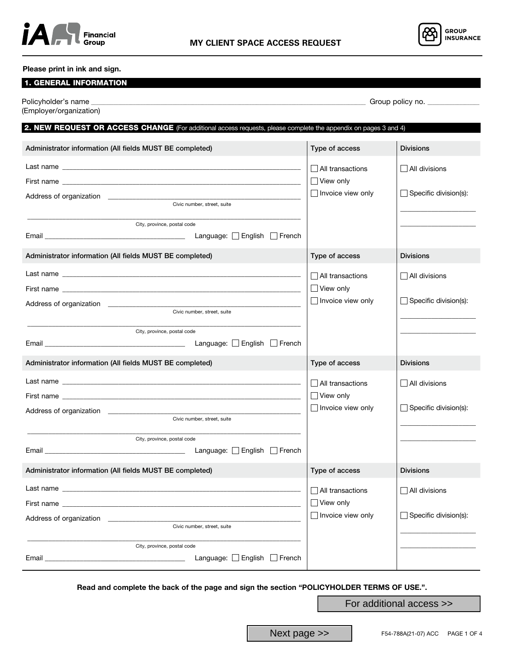



### Please print in ink and sign.

# 1. GENERAL INFORMATION

| (Employer/organization)                                                                                                         |                                                                         |                                                      |
|---------------------------------------------------------------------------------------------------------------------------------|-------------------------------------------------------------------------|------------------------------------------------------|
| 2. NEW REQUEST OR ACCESS CHANGE (For additional access requests, please complete the appendix on pages 3 and 4)                 |                                                                         |                                                      |
| Administrator information (All fields MUST BE completed)                                                                        | Type of access                                                          | <b>Divisions</b>                                     |
| Civic number, street, suite<br>City, province, postal code                                                                      | $\Box$ All transactions<br>$\Box$ View only<br>$\Box$ Invoice view only | $\Box$ All divisions<br>$\Box$ Specific division(s): |
| Administrator information (All fields MUST BE completed)                                                                        | Type of access                                                          | <b>Divisions</b>                                     |
| Civic number, street, suite<br>City, province, postal code                                                                      | All transactions<br>$\Box$ View only<br>$\Box$ Invoice view only        | $\Box$ All divisions<br>$\Box$ Specific division(s): |
| Administrator information (All fields MUST BE completed)                                                                        | Type of access                                                          | <b>Divisions</b>                                     |
| Civic number, street, suite<br>City, province, postal code<br>Language: English French                                          | All transactions<br>$\Box$ View only<br>Invoice view only               | $\Box$ All divisions<br>$\Box$ Specific division(s): |
| Administrator information (All fields MUST BE completed)                                                                        | Type of access                                                          | <b>Divisions</b>                                     |
| Address of organization<br>Civic number, street, suite<br>City, province, postal code<br>Language: $\Box$ English $\Box$ French | $\Box$ All transactions<br>$\Box$ View only<br>$\Box$ Invoice view only | $\Box$ All divisions<br>$\Box$ Specific division(s): |

Read and complete the back of the page and sign the section "POLICYHOLDER TERMS OF USE.".

For additional access >>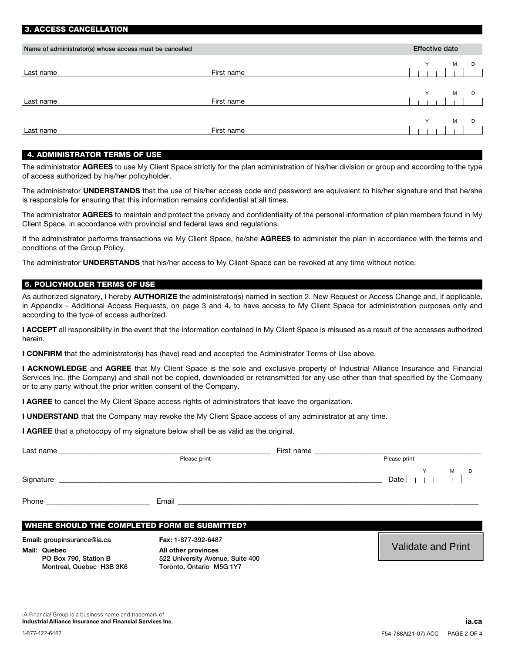| <b>U. AUULUU UARULLLATIUR</b>                           |            |                       |
|---------------------------------------------------------|------------|-----------------------|
|                                                         |            |                       |
| Name of administrator(s) whose access must be cancelled |            | <b>Effective date</b> |
|                                                         |            |                       |
| Last name                                               | First name | M<br>D                |
|                                                         |            |                       |
|                                                         |            | v<br>M<br>D           |
| Last name                                               | First name |                       |
|                                                         |            |                       |
|                                                         |            | M<br>D                |
| Last name                                               | First name |                       |
|                                                         |            |                       |

### 4. ADMINISTRATOR TERMS OF USE

3. ACCESS CANCELLATION

The administrator AGREES to use My Client Space strictly for the plan administration of his/her division or group and according to the type of access authorized by his/her policyholder.

The administrator UNDERSTANDS that the use of his/her access code and password are equivalent to his/her signature and that he/she is responsible for ensuring that this information remains confidential at all times.

The administrator AGREES to maintain and protect the privacy and confidentiality of the personal information of plan members found in My Client Space, in accordance with provincial and federal laws and regulations.

If the administrator performs transactions via My Client Space, he/she AGREES to administer the plan in accordance with the terms and conditions of the Group Policy.

The administrator UNDERSTANDS that his/her access to My Client Space can be revoked at any time without notice.

#### 5. POLICYHOLDER TERMS OF USE

As authorized signatory, I hereby **AUTHORIZE** the administrator(s) named in section 2. New Request or Access Change and, if applicable, in Appendix - Additional Access Requests, on page 3 and 4, to have access to My Client Space for administration purposes only and according to the type of access authorized.

I ACCEPT all responsibility in the event that the information contained in My Client Space is misused as a result of the accesses authorized herein.

I CONFIRM that the administrator(s) has (have) read and accepted the Administrator Terms of Use above.

I ACKNOWLEDGE and AGREE that My Client Space is the sole and exclusive property of Industrial Alliance Insurance and Financial Services Inc. (the Company) and shall not be copied, downloaded or retransmitted for any use other than that specified by the Company or to any party without the prior written consent of the Company.

I AGREE to cancel the My Client Space access rights of administrators that leave the organization.

I UNDERSTAND that the Company may revoke the My Client Space access of any administrator at any time.

I AGREE that a photocopy of my signature below shall be as valid as the original.

| Last name | First name   |              |        |
|-----------|--------------|--------------|--------|
|           | Please print | Please print |        |
| Signature |              | Date         | M<br>D |
| Phone     | Email        |              |        |

#### WHERE SHOULD THE COMPLETED FORM BE SUBMITTED?

Email: groupinsurance@ia.ca Fax: 1-877-392-6487 Mail: Quebec

PO Box 790, Station B Montreal, Quebec H3B 3K6 All other provinces 522 University Avenue, Suite 400 Toronto, Ontario M5G 1Y7

Validate and Print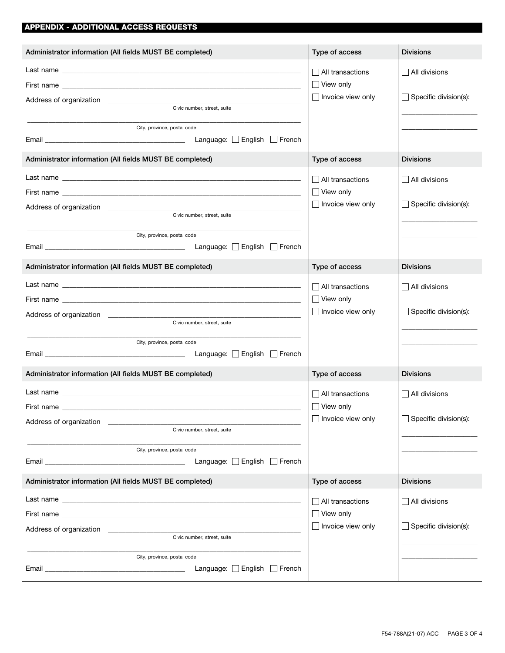## APPENDIX - ADDITIONAL ACCESS REQUESTS

| Administrator information (All fields MUST BE completed)                                                                                                                                                                                                                                                                                                                                                                                                        | Type of access                               | <b>Divisions</b>             |
|-----------------------------------------------------------------------------------------------------------------------------------------------------------------------------------------------------------------------------------------------------------------------------------------------------------------------------------------------------------------------------------------------------------------------------------------------------------------|----------------------------------------------|------------------------------|
|                                                                                                                                                                                                                                                                                                                                                                                                                                                                 | All transactions<br>$\Box$ View only         | $\Box$ All divisions         |
| Civic number, street, suite<br>City, province, postal code                                                                                                                                                                                                                                                                                                                                                                                                      | $\Box$ Invoice view only                     | $\Box$ Specific division(s): |
| Email Emerican Emerican Emerican Emerican Language: English French                                                                                                                                                                                                                                                                                                                                                                                              |                                              |                              |
| Administrator information (All fields MUST BE completed)                                                                                                                                                                                                                                                                                                                                                                                                        | Type of access                               | <b>Divisions</b>             |
|                                                                                                                                                                                                                                                                                                                                                                                                                                                                 | All transactions                             | $\Box$ All divisions         |
|                                                                                                                                                                                                                                                                                                                                                                                                                                                                 | $\Box$ View only<br>$\Box$ Invoice view only | $\Box$ Specific division(s): |
| Address of organization experience and a series of organization of the series of organization of the series of<br>Civic number, street, suite                                                                                                                                                                                                                                                                                                                   |                                              |                              |
| City, province, postal code                                                                                                                                                                                                                                                                                                                                                                                                                                     |                                              |                              |
| Administrator information (All fields MUST BE completed)                                                                                                                                                                                                                                                                                                                                                                                                        | Type of access                               | <b>Divisions</b>             |
|                                                                                                                                                                                                                                                                                                                                                                                                                                                                 | $\Box$ All transactions                      | $\Box$ All divisions         |
|                                                                                                                                                                                                                                                                                                                                                                                                                                                                 | $\Box$ View only                             |                              |
| Civic number, street, suite                                                                                                                                                                                                                                                                                                                                                                                                                                     | $\Box$ Invoice view only                     | $\Box$ Specific division(s): |
| City, province, postal code                                                                                                                                                                                                                                                                                                                                                                                                                                     |                                              |                              |
| Administrator information (All fields MUST BE completed)                                                                                                                                                                                                                                                                                                                                                                                                        | Type of access                               | <b>Divisions</b>             |
|                                                                                                                                                                                                                                                                                                                                                                                                                                                                 | $\Box$ All transactions                      | $\Box$ All divisions         |
| First name                                                                                                                                                                                                                                                                                                                                                                                                                                                      | $\Box$ View only                             |                              |
| Address of organization<br>Civic number, street, suite                                                                                                                                                                                                                                                                                                                                                                                                          | $\Box$ Invoice view only                     | $\Box$ Specific division(s): |
| City, province, postal code                                                                                                                                                                                                                                                                                                                                                                                                                                     |                                              |                              |
| Language: <b>Figure</b> French<br>Email <b>Explorer Section Contract Contract Contract Contract Contract Contract Contract Contract Contract Contract Contract Contract Contract Contract Contract Contract Contract Contract Contract Contract Contract Contract </b>                                                                                                                                                                                          |                                              |                              |
| Administrator information (All fields MUST BE completed)                                                                                                                                                                                                                                                                                                                                                                                                        | Type of access                               | <b>Divisions</b>             |
| Last name with a state of the contract of the contract of the contract of the contract of the contract of the contract of the contract of the contract of the contract of the contract of the contract of the contract of the<br>First name was a state of the control of the control of the control of the control of the control of the control of the control of the control of the control of the control of the control of the control of the control of t | $\Box$ All transactions<br>$\Box$ View only  | $\Box$ All divisions         |
| Civic number, street, suite                                                                                                                                                                                                                                                                                                                                                                                                                                     | $\Box$ Invoice view only                     | $\Box$ Specific division(s): |
| City, province, postal code<br>Language: Senglish Servench<br>Email <b>Email Email Email Account Account Account Account Account Account Account Account Account Account Account Account Account Account Account Account Account Account Account Account Account Account Account Account A</b>                                                                                                                                                                  |                                              |                              |